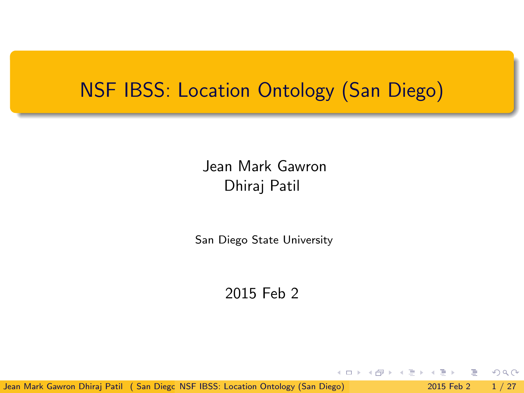# NSF IBSS: Location Ontology (San Diego)

# Jean Mark Gawron Dhiraj Patil

San Diego State University

#### 2015 Feb 2

Jean Mark Gawron Dhiraj Patil ( San Diego [NSF IBSS: Location Ontology \(San Diego\)](#page-26-0) 2015 Feb 2 1 / 27

 $\equiv$ 

<span id="page-0-0"></span> $\Omega$ 

イロト イ母 トイラト イラト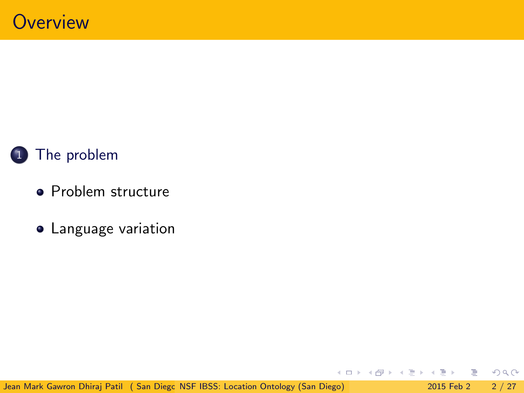

- [Problem structure](#page-5-0)
- [Language variation](#page-6-0)

Jean Mark Gawron Dhiraj Patil ( San Diego [NSF IBSS: Location Ontology \(San Diego\)](#page-0-0) 2015 Feb 2 2 / 27

 $\Omega$ 

イロト イ御 トイモト イモ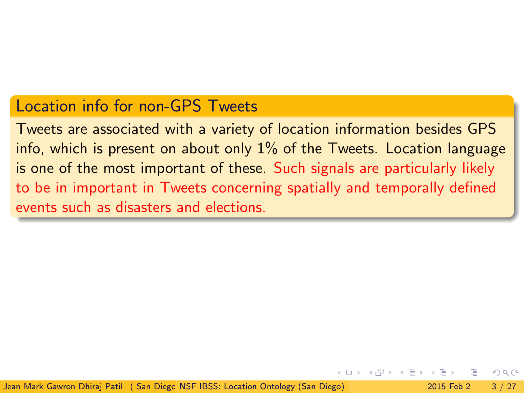### Location info for non-GPS Tweets

Tweets are associated with a variety of location information besides GPS info, which is present on about only  $1\%$  of the Tweets. Location language is one of the most important of these. Such signals are particularly likely to be in important in Tweets concerning spatially and temporally defined events such as disasters and elections.

Jean Mark Gawron Dhirai Patil ( San Diego NSE IBSS: Location Ontology (San Diego) 2015 Feb 2 3 / 27

<span id="page-2-0"></span> $QQ$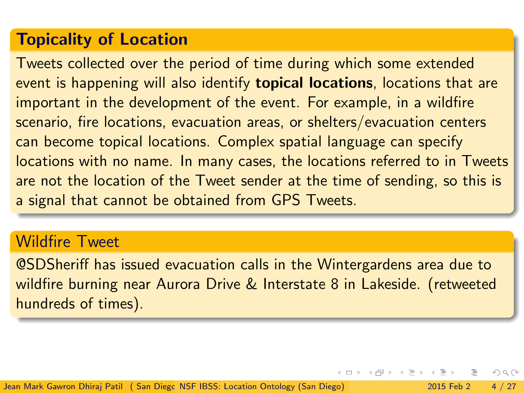# Topicality of Location

Tweets collected over the period of time during which some extended event is happening will also identify **topical locations**, locations that are important in the development of the event. For example, in a wildfire scenario, fire locations, evacuation areas, or shelters/evacuation centers can become topical locations. Complex spatial language can specify locations with no name. In many cases, the locations referred to in Tweets are not the location of the Tweet sender at the time of sending, so this is a signal that cannot be obtained from GPS Tweets.

#### Wildfire Tweet

@SDSheriff has issued evacuation calls in the Wintergardens area due to wildfire burning near Aurora Drive & Interstate 8 in Lakeside. (retweeted hundreds of times).

 $\Omega$ 

イロト イ押 トイヨト イヨ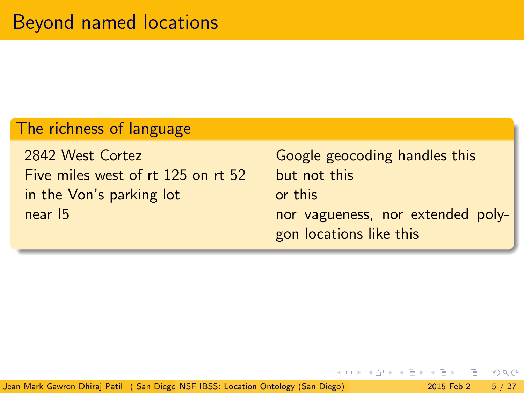# The richness of language

2842 West Cortez **Google geocoding handles this** Five miles west of rt 125 on rt 52 but not this in the Von's parking lot or this

near 15 nor vagueness, nor extended polygon locations like this

Jean Mark Gawron Dhiraj Patil ( San Diego [NSF IBSS: Location Ontology \(San Diego\)](#page-0-0) 2015 Feb 2 5 / 27

 $\Omega$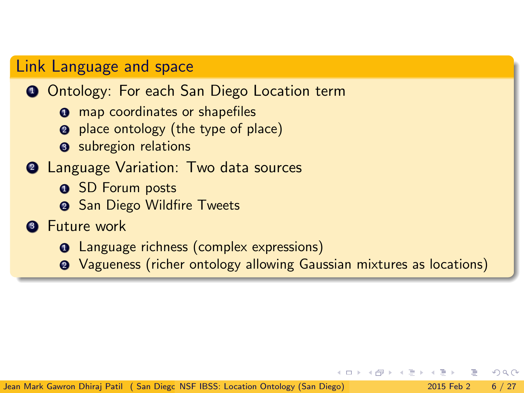### Link Language and space

#### **1** Ontology: For each San Diego Location term

- **O** map coordinates or shapefiles
- 2 place ontology (the type of place)
- **3** subregion relations

#### <sup>2</sup> Language Variation: Two data sources

- **1 SD Forum posts**
- **2** San Diego Wildfire Tweets

#### **3** Future work

- **1** Language richness (complex expressions)
- <sup>2</sup> Vagueness (richer ontology allowing Gaussian mixtures as locations)

<span id="page-5-0"></span> $\Omega$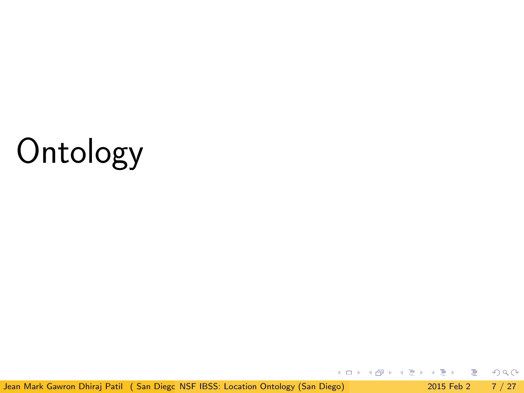# **Ontology**

Jean Mark Gawron Dhiraj Patil ( San Diego [NSF IBSS: Location Ontology \(San Diego\)](#page-0-0) 2015 Feb 2 7 / 27

重

<span id="page-6-0"></span> $2Q$ 

イロト イ部 トイヨ トイヨト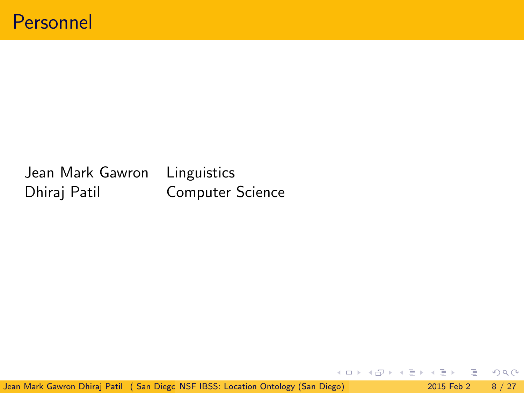# Jean Mark Gawron Linguistics Dhiraj Patil Computer Science

Jean Mark Gawron Dhiraj Patil ( San Diego [NSF IBSS: Location Ontology \(San Diego\)](#page-0-0) 2015 Feb 2 8 / 27

重

 $2Q$ 

イロト イ部ト イミトイ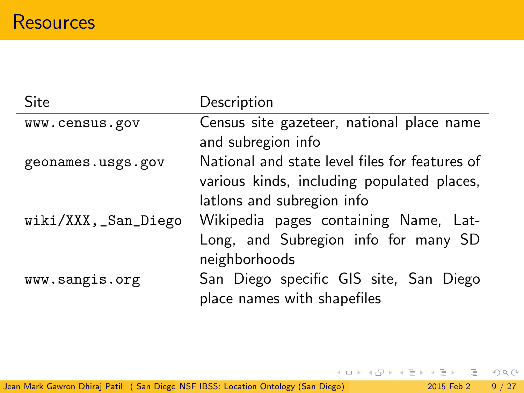| Site                | Description                                    |
|---------------------|------------------------------------------------|
| www.census.gov      | Census site gazeteer, national place name      |
|                     | and subregion info                             |
| geonames.usgs.gov   | National and state level files for features of |
|                     | various kinds, including populated places,     |
|                     | lations and subregion info                     |
| wiki/XXX,_San_Diego | Wikipedia pages containing Name, Lat-          |
|                     | Long, and Subregion info for many SD           |
|                     | neighborhoods                                  |
| www.sangis.org      | San Diego specific GIS site, San Diego         |
|                     | place names with shapefiles                    |

三 つくひ

メロト メ都 トメ ミトメ ミト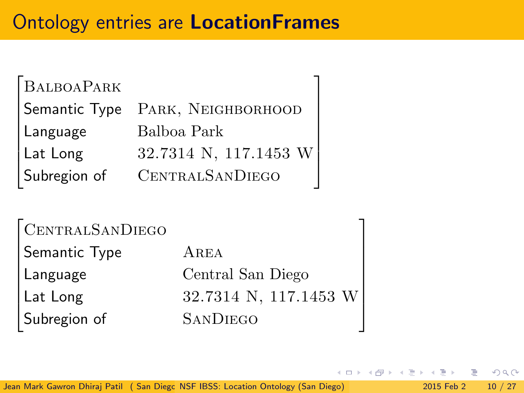# Ontology entries are LocationFrames

| BALBOAPARK   |                                  |
|--------------|----------------------------------|
|              | Semantic Type PARK, NEIGHBORHOOD |
| Language     | Balboa Park                      |
| Lat Long     | 32.7314 N, 117.1453 W            |
| Subregion of | CENTRALSANDIEGO                  |

| CENTRALSANDIEGO |                       |
|-----------------|-----------------------|
| Semantic Type   | AREA                  |
| Language        | Central San Diego     |
| Lat Long        | 32.7314 N, 117.1453 W |
| Subregion of    | <b>SANDIEGO</b>       |

Jean Mark Gawron Dhiraj Patil ( San Diego [NSF IBSS: Location Ontology \(San Diego\)](#page-0-0) 2015 Feb 2 10 / 27

 $\leftarrow \equiv$   $\rightarrow$ 

 $2990$ 

4 D F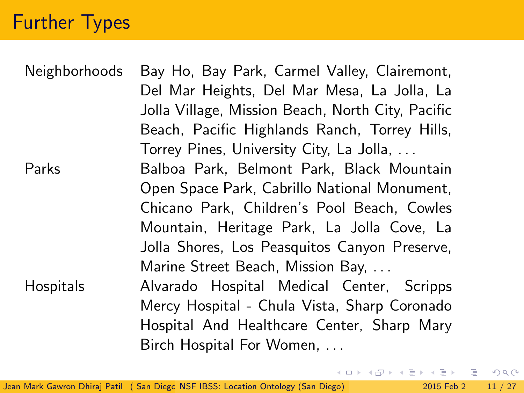# Further Types

| Neighborhoods | Bay Ho, Bay Park, Carmel Valley, Clairemont,      |
|---------------|---------------------------------------------------|
|               | Del Mar Heights, Del Mar Mesa, La Jolla, La       |
|               | Jolla Village, Mission Beach, North City, Pacific |
|               | Beach, Pacific Highlands Ranch, Torrey Hills,     |
|               | Torrey Pines, University City, La Jolla,          |
| Parks         | Balboa Park, Belmont Park, Black Mountain         |
|               | Open Space Park, Cabrillo National Monument,      |
|               | Chicano Park, Children's Pool Beach, Cowles       |
|               | Mountain, Heritage Park, La Jolla Cove, La        |
|               | Jolla Shores, Los Peasquitos Canyon Preserve,     |
|               | Marine Street Beach, Mission Bay,                 |
| Hospitals     | Alvarado Hospital Medical Center, Scripps         |
|               | Mercy Hospital - Chula Vista, Sharp Coronado      |
|               | Hospital And Healthcare Center, Sharp Mary        |
|               | Birch Hospital For Women,                         |

K ロ > K @ > K 할 > K 할 > → 할 → ⊙ Q @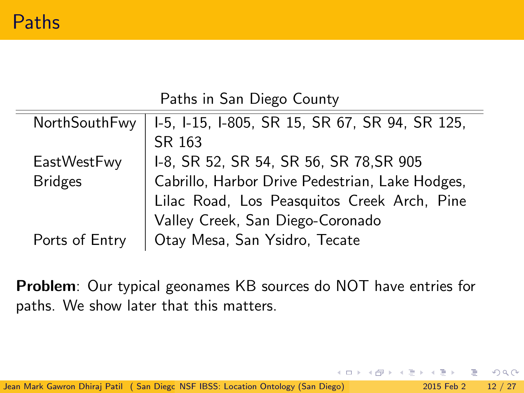|  |  | Paths in San Diego County |
|--|--|---------------------------|

| NorthSouthFwy   I-5, I-15, I-805, SR 15, SR 67, SR 94, SR 125, |
|----------------------------------------------------------------|
| SR 163                                                         |
| I-8, SR 52, SR 54, SR 56, SR 78, SR 905                        |
| Cabrillo, Harbor Drive Pedestrian, Lake Hodges,                |
| Lilac Road, Los Peasquitos Creek Arch, Pine                    |
| Valley Creek, San Diego-Coronado                               |
| Otay Mesa, San Ysidro, Tecate                                  |
|                                                                |

Problem: Our typical geonames KB sources do NOT have entries for paths. We show later that this matters.

 $\Omega$ 

 $4$  ロ }  $4$   $4$   $9$  }  $4$   $\equiv$  }  $-4$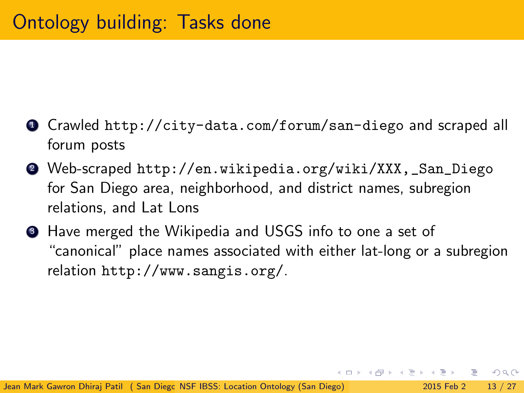- <sup>1</sup> Crawled <http://city-data.com/forum/san-diego> and scraped all forum posts
- <sup>2</sup> Web-scraped [http://en.wikipedia.org/wiki/XXX,\\_San\\_Diego](http://en.wikipedia.org/wiki/XXX,_San_Diego) for San Diego area, neighborhood, and district names, subregion relations, and Lat Lons
- <sup>3</sup> Have merged the Wikipedia and USGS info to one a set of "canonical" place names associated with either lat-long or a subregion relation <http://www.sangis.org/>.

K 何 ▶ K ヨ ▶ K ヨ ▶ │ ヨ │ め&企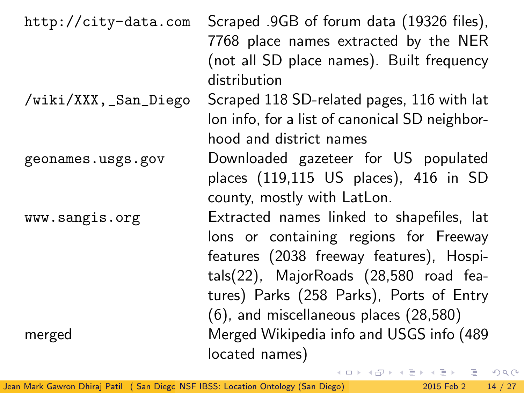| http://city-data.com | Scraped .9GB of forum data (19326 files),<br>7768 place names extracted by the NER<br>(not all SD place names). Built frequency<br>distribution                                                                                                                 |
|----------------------|-----------------------------------------------------------------------------------------------------------------------------------------------------------------------------------------------------------------------------------------------------------------|
| /wiki/XXX,_San_Diego | Scraped 118 SD-related pages, 116 with lat<br>lon info, for a list of canonical SD neighbor-<br>hood and district names                                                                                                                                         |
| geonames.usgs.gov    | Downloaded gazeteer for US populated<br>places (119,115 US places), 416 in SD<br>county, mostly with LatLon.                                                                                                                                                    |
| www.sangis.org       | Extracted names linked to shapefiles, lat<br>lons or containing regions for Freeway<br>features (2038 freeway features), Hospi-<br>tals(22), MajorRoads (28,580 road fea-<br>tures) Parks (258 Parks), Ports of Entry<br>(6), and miscellaneous places (28,580) |
| merged               | Merged Wikipedia info and USGS info (489<br>located names)<br>K ロ > K @ → K 로 > K 로 ▶ → 로 → K 9 Q @                                                                                                                                                             |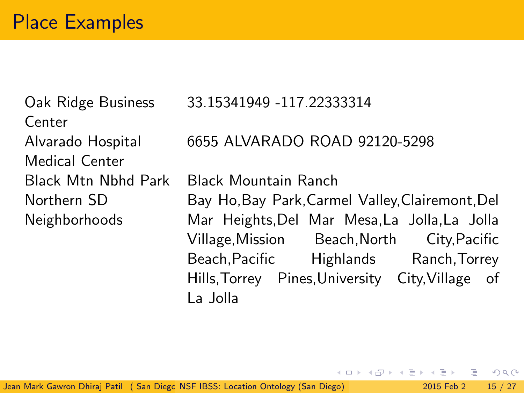Oak Ridge Business Center Alvarado Hospital Medical Center Northern SD Neighborhoods

33.15341949 -117.22333314

6655 ALVARADO ROAD 92120-5298

Black Mtn Nbhd Park Black Mountain Ranch Bay Ho,Bay Park,Carmel Valley,Clairemont,Del Mar Heights,Del Mar Mesa,La Jolla,La Jolla Village,Mission Beach,North City,Pacific Beach,Pacific Highlands Ranch,Torrey Hills,Torrey Pines,University City,Village of La Jolla

 $QQ$ 

 $\left\{ \left\vert \left\langle \mathbf{q} \right\rangle \right\vert \times \left\langle \mathbf{q} \right\rangle \right\} \times \left\{ \left\vert \mathbf{q} \right\rangle \right\}$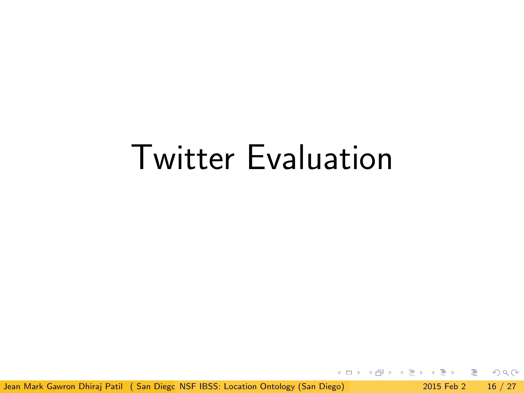# Twitter Evaluation

Jean Mark Gawron Dhiraj Patil ( San Diego [NSF IBSS: Location Ontology \(San Diego\)](#page-0-0) 2015 Feb 2 16 / 27

÷

 $\eta$ an

イロト イ部ト イミト イ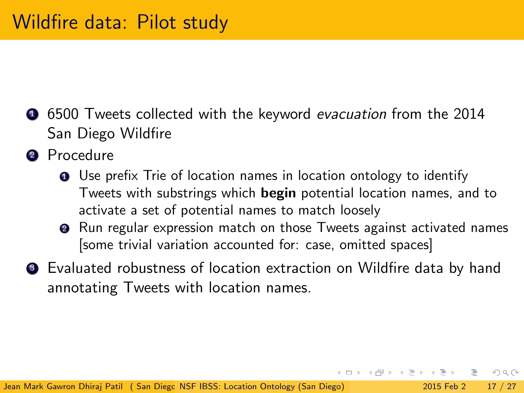- **•** 6500 Tweets collected with the keyword *evacuation* from the 2014 San Diego Wildfire
- **2** Procedure
	- **1** Use prefix Trie of location names in location ontology to identify Tweets with substrings which begin potential location names, and to activate a set of potential names to match loosely
	- <sup>2</sup> Run regular expression match on those Tweets against activated names [some trivial variation accounted for: case, omitted spaces]
- <sup>3</sup> Evaluated robustness of location extraction on Wildfire data by hand annotating Tweets with location names.

 $\eta$ an

K @ ▶ K 경 ▶ K 경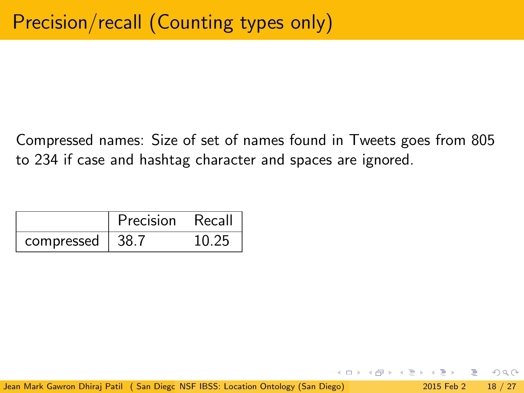Compressed names: Size of set of names found in Tweets goes from 805 to 234 if case and hashtag character and spaces are ignored.

|            | Precision | Recall |
|------------|-----------|--------|
| compressed | -38-7     | 10 25  |

 $QQ$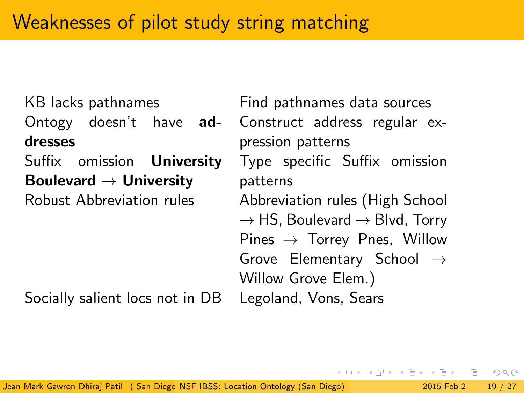Ontogy doesn't have addresses

Suffix omission **University** Boulevard  $\rightarrow$  University

KB lacks pathnames Find pathnames data sources Construct address regular expression patterns Type specific Suffix omission patterns Robust Abbreviation rules Abbreviation rules (High School  $\rightarrow$  HS, Boulevard  $\rightarrow$  Blvd, Torry Pines  $\rightarrow$  Torrey Pnes, Willow Grove Elementary School  $\rightarrow$ Willow Grove Elem.)

Socially salient locs not in DB Legoland, Vons, Sears

 $QQ$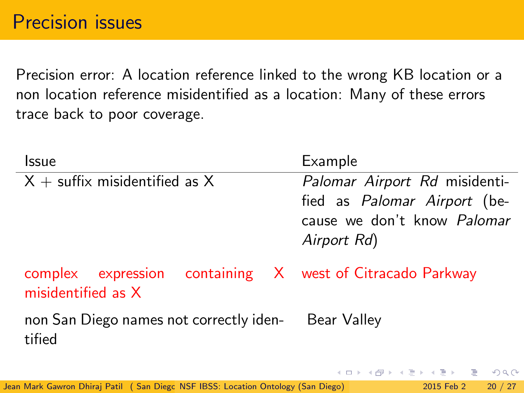Precision error: A location reference linked to the wrong KB location or a non location reference misidentified as a location: Many of these errors trace back to poor coverage.

| Issue                                                                            | Example                                                                                                            |
|----------------------------------------------------------------------------------|--------------------------------------------------------------------------------------------------------------------|
| $X +$ suffix misidentified as X                                                  | Palomar Airport Rd misidenti-<br>fied as Palomar Airport (be-<br>cause we don't know <i>Palomar</i><br>Airport Rd) |
| complex expression containing X west of Citracado Parkway<br>misidentified as X  |                                                                                                                    |
| non San Diego names not correctly iden-<br>tified                                | Bear Valley                                                                                                        |
|                                                                                  | イロト イ母 トイミト イミト・ニヨー りなの                                                                                            |
| Jean Mark Gawron Dhirai Patil (San Diego NSF IBSS: Location Ontology (San Diego) | 20 / 27<br>2015 Feb 2                                                                                              |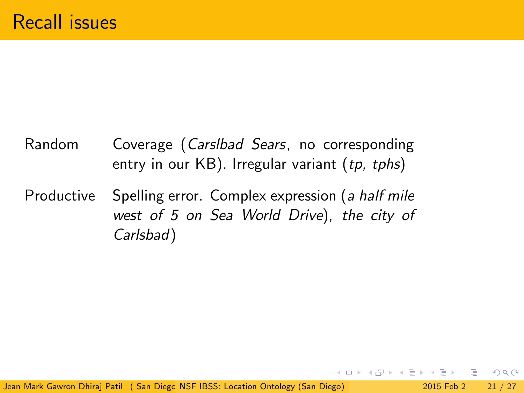# Random Coverage (Carslbad Sears, no corresponding entry in our  $KB$ ). Irregular variant  $(tp, tphs)$

Productive Spelling error. Complex expression (a half mile west of 5 on Sea World Drive), the city of Carlsbad)

 $\Omega$ 

 $\rightarrow$   $\equiv$   $\rightarrow$   $\rightarrow$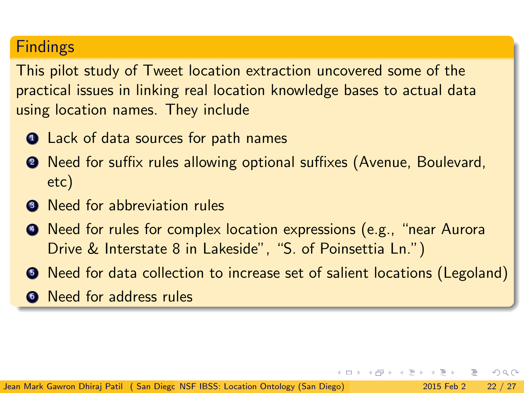## Findings

This pilot study of Tweet location extraction uncovered some of the practical issues in linking real location knowledge bases to actual data using location names. They include

- **1** Lack of data sources for path names
- <sup>2</sup> Need for suffix rules allowing optional suffixes (Avenue, Boulevard, etc)
- <sup>3</sup> Need for abbreviation rules
- <sup>4</sup> Need for rules for complex location expressions (e.g., "near Aurora Drive & Interstate 8 in Lakeside", "S. of Poinsettia Ln.")
- <sup>5</sup> Need for data collection to increase set of salient locations (Legoland)

 $\Omega$ 

**<sup>6</sup>** Need for address rules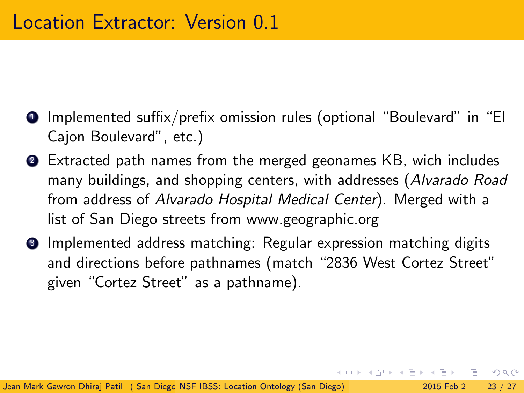- <sup>1</sup> Implemented suffix/prefix omission rules (optional "Boulevard" in "El Cajon Boulevard", etc.)
- <sup>2</sup> Extracted path names from the merged geonames KB, wich includes many buildings, and shopping centers, with addresses (Alvarado Road from address of Alvarado Hospital Medical Center). Merged with a list of San Diego streets from [www.geographic.org](http://www.geographic.org/streetview/usa/ca/san_diego.html)
- <sup>3</sup> Implemented address matching: Regular expression matching digits and directions before pathnames (match "2836 West Cortez Street" given "Cortez Street" as a pathname).

 $\Omega$ 

イロメ イ何 メイヨメ イヨメーヨ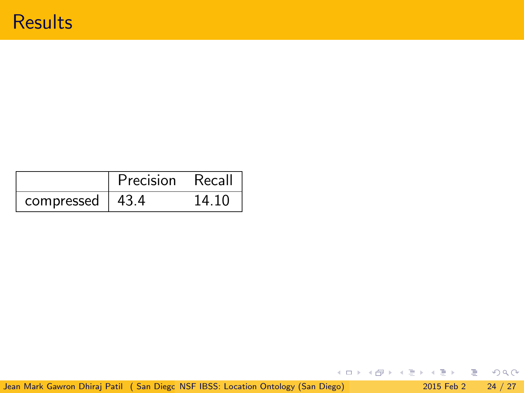|            | Precision | Recall |
|------------|-----------|--------|
| compressed | -43.4     | 14 10  |

イロト (個) (ミ) (ミ) (ミ) ミーのQ(N)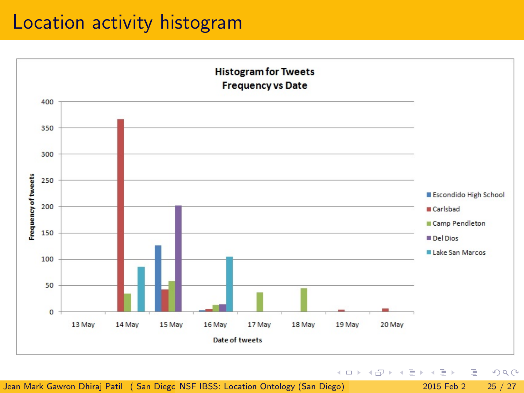# Location activity histogram



Jean Mark Gawron Dhiraj Patil ( San Diego [NSF IBSS: Location Ontology \(San Diego\)](#page-0-0) 2001 2015 Feb 2 25 / 27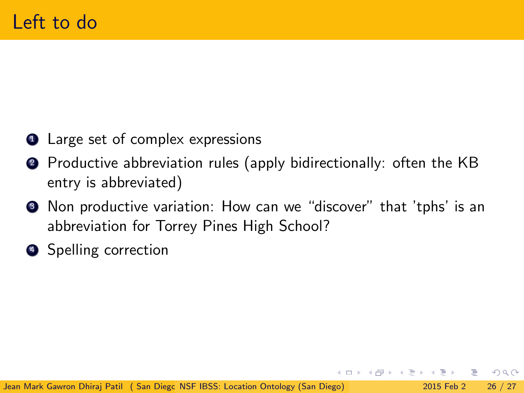- **1** Large set of complex expressions
- <sup>2</sup> Productive abbreviation rules (apply bidirectionally: often the KB entry is abbreviated)
- <sup>3</sup> Non productive variation: How can we "discover" that 'tphs' is an abbreviation for Torrey Pines High School?
- **4** Spelling correction

 $\eta$ an

 $\rightarrow$   $\equiv$   $\rightarrow$   $\rightarrow$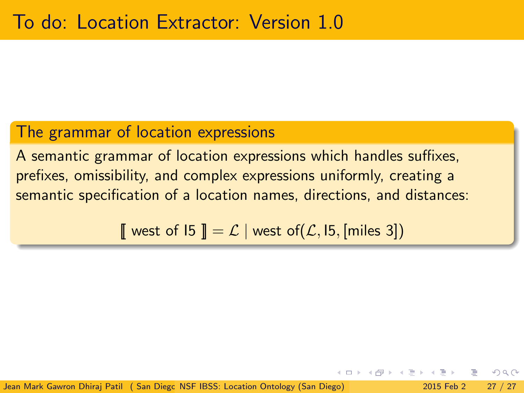#### The grammar of location expressions

A semantic grammar of location expressions which handles suffixes, prefixes, omissibility, and complex expressions uniformly, creating a semantic specification of a location names, directions, and distances:

west of  $\mathsf{I5} \mathsf{I} = \mathcal{L}$  | west of( $\mathcal{L}$ ,  $\mathsf{I5}$ , [miles 3])

Jean Mark Gawron Dhirai Patil ( San Diego NSE IBSS: Location Ontology (San Diego) 2015 Feb 2 27 / 27

<span id="page-26-0"></span>つへへ